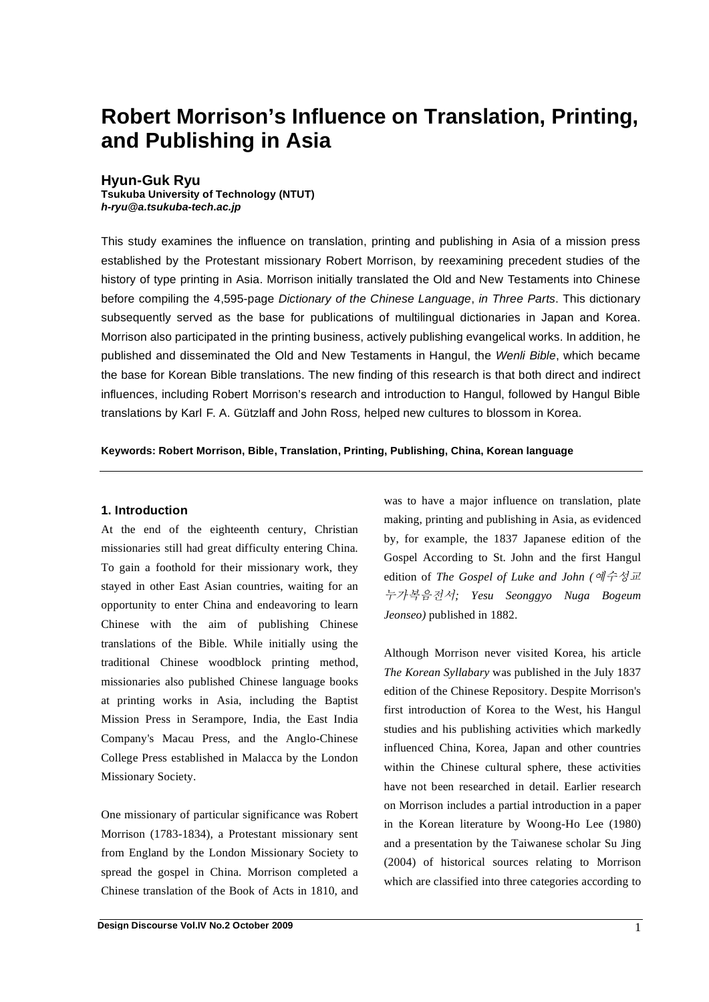# **Robert Morrison's Influence on Translation, Printing, and Publishing in Asia**

### **Hyun-Guk Ryu**

**Tsukuba University of Technology (NTUT)**  *h-ryu@a.tsukuba-tech.ac.jp* 

This study examines the influence on translation, printing and publishing in Asia of a mission press established by the Protestant missionary Robert Morrison, by reexamining precedent studies of the history of type printing in Asia. Morrison initially translated the Old and New Testaments into Chinese before compiling the 4,595-page *Dictionary of the Chinese Language*, *in Three Parts*. This dictionary subsequently served as the base for publications of multilingual dictionaries in Japan and Korea. Morrison also participated in the printing business, actively publishing evangelical works. In addition, he published and disseminated the Old and New Testaments in Hangul, the *Wenli Bible*, which became the base for Korean Bible translations. The new finding of this research is that both direct and indirect influences, including Robert Morrison's research and introduction to Hangul, followed by Hangul Bible translations by Karl F. A. Gützlaff and John Ros*s,* helped new cultures to blossom in Korea.

**Keywords: Robert Morrison, Bible, Translation, Printing, Publishing, China, Korean language**

#### **1. Introduction**

At the end of the eighteenth century, Christian missionaries still had great difficulty entering China. To gain a foothold for their missionary work, they stayed in other East Asian countries, waiting for an opportunity to enter China and endeavoring to learn Chinese with the aim of publishing Chinese translations of the Bible. While initially using the traditional Chinese woodblock printing method, missionaries also published Chinese language books at printing works in Asia, including the Baptist Mission Press in Serampore, India, the East India Company's Macau Press, and the Anglo-Chinese College Press established in Malacca by the London Missionary Society.

One missionary of particular significance was Robert Morrison (1783-1834), a Protestant missionary sent from England by the London Missionary Society to spread the gospel in China. Morrison completed a Chinese translation of the Book of Acts in 1810, and was to have a major influence on translation, plate making, printing and publishing in Asia, as evidenced by, for example, the 1837 Japanese edition of the Gospel According to St. John and the first Hangul edition of *The Gospel of Luke and John ( ; Yesu Seonggyo Nuga Bogeum Jeonseo)* published in 1882.

Although Morrison never visited Korea, his article *The Korean Syllabary* was published in the July 1837 edition of the Chinese Repository. Despite Morrison's first introduction of Korea to the West, his Hangul studies and his publishing activities which markedly influenced China, Korea, Japan and other countries within the Chinese cultural sphere, these activities have not been researched in detail. Earlier research on Morrison includes a partial introduction in a paper in the Korean literature by Woong-Ho Lee (1980) and a presentation by the Taiwanese scholar Su Jing (2004) of historical sources relating to Morrison which are classified into three categories according to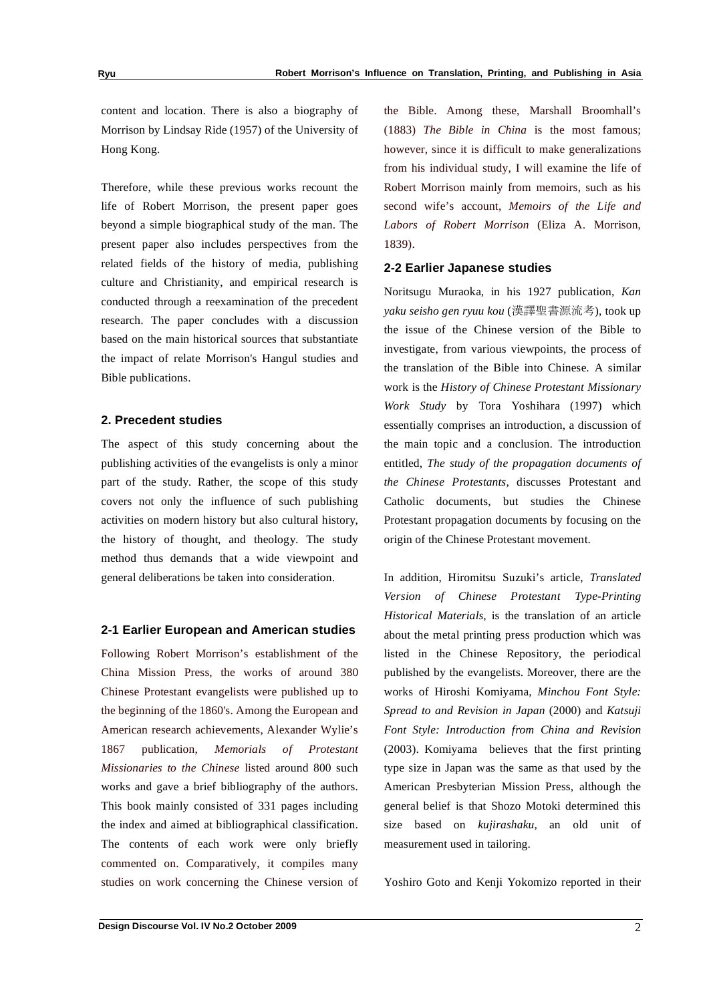content and location. There is also a biography of Morrison by Lindsay Ride (1957) of the University of Hong Kong.

Therefore, while these previous works recount the life of Robert Morrison, the present paper goes beyond a simple biographical study of the man. The present paper also includes perspectives from the related fields of the history of media, publishing culture and Christianity, and empirical research is conducted through a reexamination of the precedent research. The paper concludes with a discussion based on the main historical sources that substantiate the impact of relate Morrison's Hangul studies and Bible publications.

#### **2. Precedent studies**

The aspect of this study concerning about the publishing activities of the evangelists is only a minor part of the study. Rather, the scope of this study covers not only the influence of such publishing activities on modern history but also cultural history, the history of thought, and theology. The study method thus demands that a wide viewpoint and general deliberations be taken into consideration.

#### **2-1 Earlier European and American studies**

Following Robert Morrison's establishment of the China Mission Press, the works of around 380 Chinese Protestant evangelists were published up to the beginning of the 1860's. Among the European and American research achievements, Alexander Wylie's 1867 publication, *Memorials of Protestant Missionaries to the Chinese* listed around 800 such works and gave a brief bibliography of the authors. This book mainly consisted of 331 pages including the index and aimed at bibliographical classification. The contents of each work were only briefly commented on. Comparatively, it compiles many studies on work concerning the Chinese version of the Bible. Among these, Marshall Broomhall's (1883) *The Bible in China* is the most famous; however, since it is difficult to make generalizations from his individual study, I will examine the life of Robert Morrison mainly from memoirs, such as his second wife's account, *Memoirs of the Life and Labors of Robert Morrison* (Eliza A. Morrison, 1839).

#### **2-2 Earlier Japanese studies**

Noritsugu Muraoka, in his 1927 publication, *Kan yaku seisho gen ryuu kou* (漢譯聖書源流考), took up the issue of the Chinese version of the Bible to investigate, from various viewpoints, the process of the translation of the Bible into Chinese. A similar work is the *History of Chinese Protestant Missionary Work Study* by Tora Yoshihara (1997) which essentially comprises an introduction, a discussion of the main topic and a conclusion. The introduction entitled, *The study of the propagation documents of the Chinese Protestants*, discusses Protestant and Catholic documents, but studies the Chinese Protestant propagation documents by focusing on the origin of the Chinese Protestant movement.

In addition, Hiromitsu Suzuki's article, *Translated Version of Chinese Protestant Type-Printing Historical Materials*, is the translation of an article about the metal printing press production which was listed in the Chinese Repository, the periodical published by the evangelists. Moreover, there are the works of Hiroshi Komiyama, *Minchou Font Style: Spread to and Revision in Japan* (2000) and *Katsuji Font Style: Introduction from China and Revision* (2003). Komiyama believes that the first printing type size in Japan was the same as that used by the American Presbyterian Mission Press, although the general belief is that Shozo Motoki determined this size based on *kujirashaku*, an old unit of measurement used in tailoring.

Yoshiro Goto and Kenji Yokomizo reported in their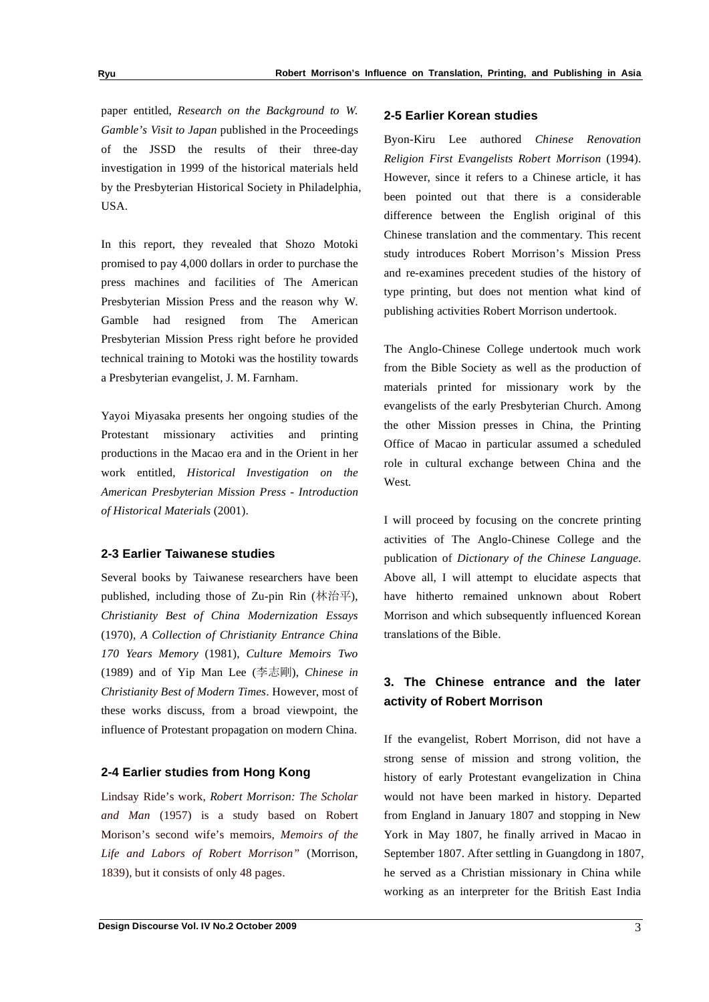paper entitled, *Research on the Background to W. Gamble's Visit to Japan* published in the Proceedings of the JSSD the results of their three-day investigation in 1999 of the historical materials held by the Presbyterian Historical Society in Philadelphia, USA.

In this report, they revealed that Shozo Motoki promised to pay 4,000 dollars in order to purchase the press machines and facilities of The American Presbyterian Mission Press and the reason why W. Gamble had resigned from The American Presbyterian Mission Press right before he provided technical training to Motoki was the hostility towards a Presbyterian evangelist, J. M. Farnham.

Yayoi Miyasaka presents her ongoing studies of the Protestant missionary activities and printing productions in the Macao era and in the Orient in her work entitled, *Historical Investigation on the American Presbyterian Mission Press - Introduction of Historical Materials* (2001).

#### **2-3 Earlier Taiwanese studies**

Several books by Taiwanese researchers have been published, including those of Zu-pin Rin (林治平), *Christianity Best of China Modernization Essays* (1970), *A Collection of Christianity Entrance China 170 Years Memory* (1981), *Culture Memoirs Two* (1989) and of Yip Man Lee (李志剛), *Chinese in Christianity Best of Modern Times*. However, most of these works discuss, from a broad viewpoint, the influence of Protestant propagation on modern China.

#### **2-4 Earlier studies from Hong Kong**

Lindsay Ride's work, *Robert Morrison: The Scholar and Man* (1957) is a study based on Robert Morison's second wife's memoirs, *Memoirs of the Life and Labors of Robert Morrison"* (Morrison, 1839), but it consists of only 48 pages.

#### **2-5 Earlier Korean studies**

Byon-Kiru Lee authored *Chinese Renovation Religion First Evangelists Robert Morrison* (1994). However, since it refers to a Chinese article, it has been pointed out that there is a considerable difference between the English original of this Chinese translation and the commentary. This recent study introduces Robert Morrison's Mission Press and re-examines precedent studies of the history of type printing, but does not mention what kind of publishing activities Robert Morrison undertook.

The Anglo-Chinese College undertook much work from the Bible Society as well as the production of materials printed for missionary work by the evangelists of the early Presbyterian Church. Among the other Mission presses in China, the Printing Office of Macao in particular assumed a scheduled role in cultural exchange between China and the **West** 

I will proceed by focusing on the concrete printing activities of The Anglo-Chinese College and the publication of *Dictionary of the Chinese Language*. Above all, I will attempt to elucidate aspects that have hitherto remained unknown about Robert Morrison and which subsequently influenced Korean translations of the Bible.

## **3. The Chinese entrance and the later activity of Robert Morrison**

If the evangelist, Robert Morrison, did not have a strong sense of mission and strong volition, the history of early Protestant evangelization in China would not have been marked in history. Departed from England in January 1807 and stopping in New York in May 1807, he finally arrived in Macao in September 1807. After settling in Guangdong in 1807, he served as a Christian missionary in China while working as an interpreter for the British East India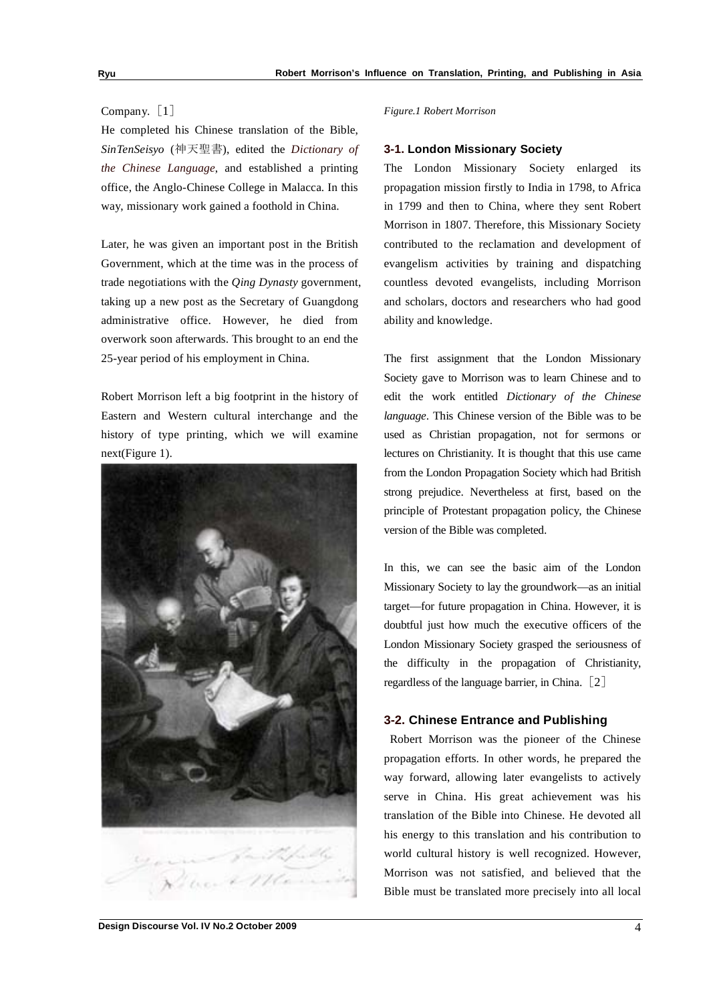#### Company. [1]

He completed his Chinese translation of the Bible,  $SinTenSeisyo$  (神天聖書), edited the *Dictionary of the Chinese Language*, and established a printing office, the Anglo-Chinese College in Malacca. In this way, missionary work gained a foothold in China.

Later, he was given an important post in the British Government, which at the time was in the process of trade negotiations with the *Qing Dynasty* government, taking up a new post as the Secretary of Guangdong administrative office. However, he died from overwork soon afterwards. This brought to an end the 25-year period of his employment in China.

Robert Morrison left a big footprint in the history of Eastern and Western cultural interchange and the history of type printing, which we will examine next(Figure 1).



#### *Figure.1 Robert Morrison*

#### **3-1. London Missionary Society**

The London Missionary Society enlarged its propagation mission firstly to India in 1798, to Africa in 1799 and then to China, where they sent Robert Morrison in 1807. Therefore, this Missionary Society contributed to the reclamation and development of evangelism activities by training and dispatching countless devoted evangelists, including Morrison and scholars, doctors and researchers who had good ability and knowledge.

The first assignment that the London Missionary Society gave to Morrison was to learn Chinese and to edit the work entitled *Dictionary of the Chinese language*. This Chinese version of the Bible was to be used as Christian propagation, not for sermons or lectures on Christianity. It is thought that this use came from the London Propagation Society which had British strong prejudice. Nevertheless at first, based on the principle of Protestant propagation policy, the Chinese version of the Bible was completed.

In this, we can see the basic aim of the London Missionary Society to lay the groundwork—as an initial target—for future propagation in China. However, it is doubtful just how much the executive officers of the London Missionary Society grasped the seriousness of the difficulty in the propagation of Christianity, regardless of the language barrier, in China. [2]

#### **3-2. Chinese Entrance and Publishing**

 Robert Morrison was the pioneer of the Chinese propagation efforts. In other words, he prepared the way forward, allowing later evangelists to actively serve in China. His great achievement was his translation of the Bible into Chinese. He devoted all his energy to this translation and his contribution to world cultural history is well recognized. However, Morrison was not satisfied, and believed that the Bible must be translated more precisely into all local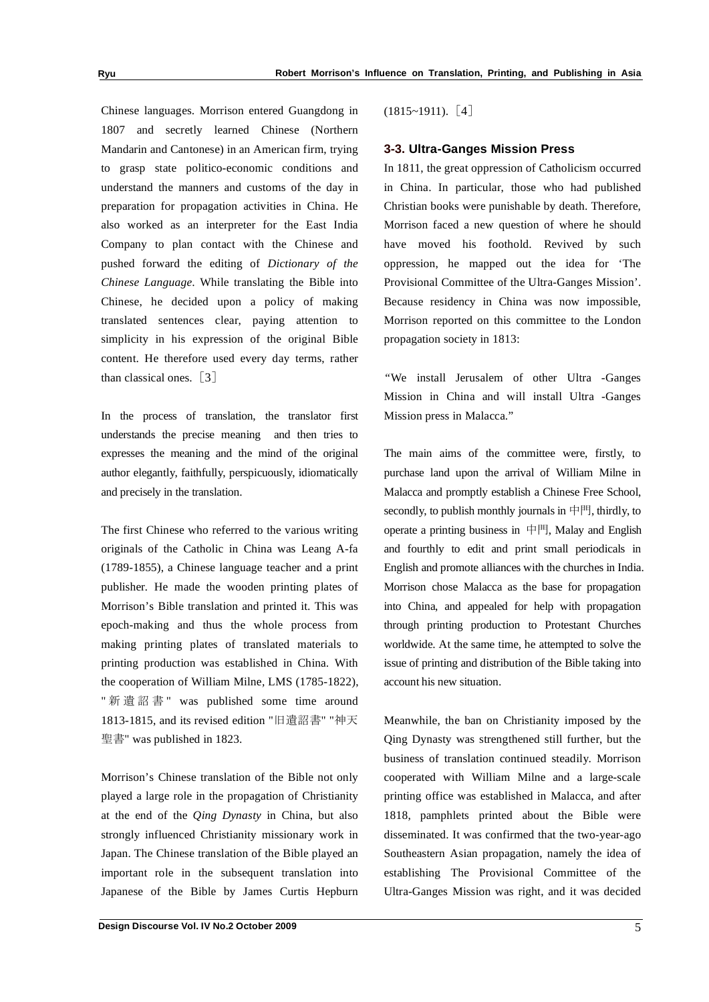Chinese languages. Morrison entered Guangdong in 1807 and secretly learned Chinese (Northern Mandarin and Cantonese) in an American firm, trying to grasp state politico-economic conditions and understand the manners and customs of the day in preparation for propagation activities in China. He also worked as an interpreter for the East India Company to plan contact with the Chinese and pushed forward the editing of *Dictionary of the Chinese Language*. While translating the Bible into Chinese, he decided upon a policy of making translated sentences clear, paying attention to simplicity in his expression of the original Bible content. He therefore used every day terms, rather than classical ones.  $\lceil 3 \rceil$ 

In the process of translation, the translator first understands the precise meaning and then tries to expresses the meaning and the mind of the original author elegantly, faithfully, perspicuously, idiomatically and precisely in the translation.

The first Chinese who referred to the various writing originals of the Catholic in China was Leang A-fa (1789-1855), a Chinese language teacher and a print publisher*.* He made the wooden printing plates of Morrison's Bible translation and printed it. This was epoch-making and thus the whole process from making printing plates of translated materials to printing production was established in China. With the cooperation of William Milne*,* LMS (1785-1822), " 新 遺 詔 書 " was published some time around 1813-1815, and its revised edition "旧遺詔書" "神天 聖書" was published in 1823.

Morrison's Chinese translation of the Bible not only played a large role in the propagation of Christianity at the end of the *Qing Dynasty* in China, but also strongly influenced Christianity missionary work in Japan. The Chinese translation of the Bible played an important role in the subsequent translation into Japanese of the Bible by James Curtis Hepburn  $(1815~1911).$  [4]

#### **3-3. Ultra-Ganges Mission Press**

In 1811, the great oppression of Catholicism occurred in China. In particular, those who had published Christian books were punishable by death. Therefore, Morrison faced a new question of where he should have moved his foothold. Revived by such oppression, he mapped out the idea for 'The Provisional Committee of the Ultra-Ganges Mission'. Because residency in China was now impossible, Morrison reported on this committee to the London propagation society in 1813:

*"*We install Jerusalem of other Ultra -Ganges Mission in China and will install Ultra -Ganges Mission press in Malacca."

The main aims of the committee were, firstly, to purchase land upon the arrival of William Milne in Malacca and promptly establish a Chinese Free School, secondly, to publish monthly journals in  $\angle$   $\angle$  [ $\angle$ ], thirdly, to operate a printing business in  $\Box$   $\Box$  Malay and English and fourthly to edit and print small periodicals in English and promote alliances with the churches in India. Morrison chose Malacca as the base for propagation into China, and appealed for help with propagation through printing production to Protestant Churches worldwide. At the same time, he attempted to solve the issue of printing and distribution of the Bible taking into account his new situation.

Meanwhile, the ban on Christianity imposed by the Qing Dynasty was strengthened still further, but the business of translation continued steadily. Morrison cooperated with William Milne and a large-scale printing office was established in Malacca, and after 1818, pamphlets printed about the Bible were disseminated. It was confirmed that the two-year-ago Southeastern Asian propagation, namely the idea of establishing The Provisional Committee of the Ultra-Ganges Mission was right, and it was decided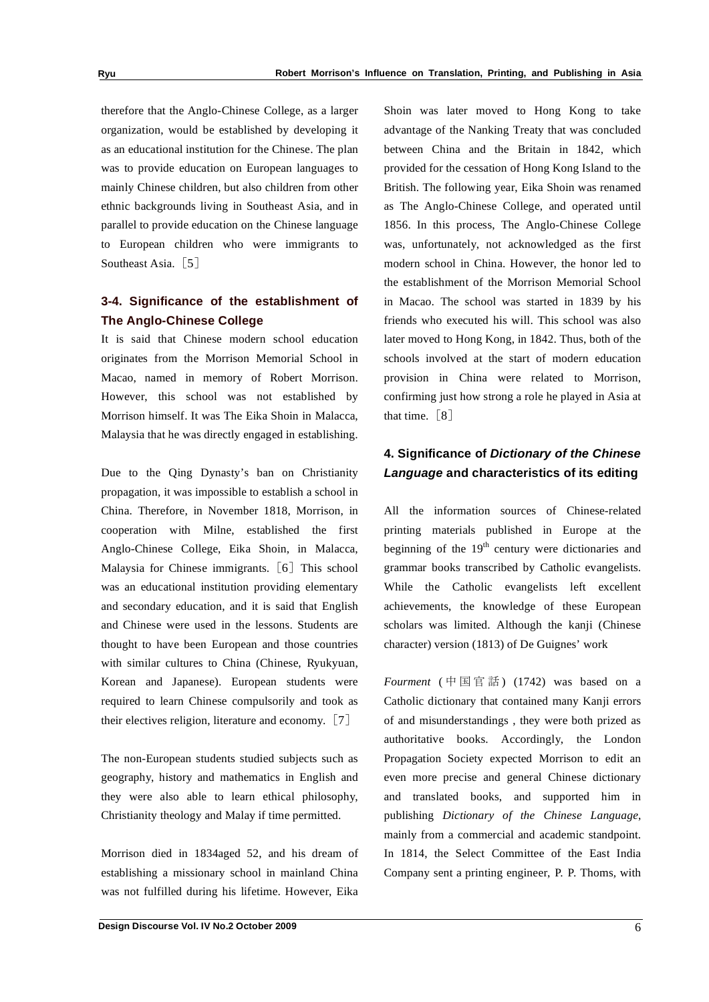therefore that the Anglo-Chinese College, as a larger organization, would be established by developing it as an educational institution for the Chinese. The plan was to provide education on European languages to mainly Chinese children, but also children from other ethnic backgrounds living in Southeast Asia, and in parallel to provide education on the Chinese language to European children who were immigrants to Southeast Asia.  $\lceil 5 \rceil$ 

## **3-4. Significance of the establishment of The Anglo-Chinese College**

It is said that Chinese modern school education originates from the Morrison Memorial School in Macao, named in memory of Robert Morrison. However, this school was not established by Morrison himself. It was The Eika Shoin in Malacca, Malaysia that he was directly engaged in establishing.

Due to the Qing Dynasty's ban on Christianity propagation, it was impossible to establish a school in China. Therefore, in November 1818, Morrison, in cooperation with Milne, established the first Anglo-Chinese College, Eika Shoin, in Malacca, Malaysia for Chinese immigrants.  $\lceil 6 \rceil$  This school was an educational institution providing elementary and secondary education, and it is said that English and Chinese were used in the lessons. Students are thought to have been European and those countries with similar cultures to China (Chinese, Ryukyuan, Korean and Japanese). European students were required to learn Chinese compulsorily and took as their electives religion, literature and economy.  $[7]$ 

The non-European students studied subjects such as geography, history and mathematics in English and they were also able to learn ethical philosophy, Christianity theology and Malay if time permitted.

Morrison died in 1834aged 52, and his dream of establishing a missionary school in mainland China was not fulfilled during his lifetime. However, Eika

Shoin was later moved to Hong Kong to take advantage of the Nanking Treaty that was concluded between China and the Britain in 1842, which provided for the cessation of Hong Kong Island to the British. The following year, Eika Shoin was renamed as The Anglo-Chinese College, and operated until 1856. In this process, The Anglo-Chinese College was, unfortunately, not acknowledged as the first modern school in China. However, the honor led to the establishment of the Morrison Memorial School in Macao. The school was started in 1839 by his friends who executed his will. This school was also later moved to Hong Kong, in 1842. Thus, both of the schools involved at the start of modern education provision in China were related to Morrison, confirming just how strong a role he played in Asia at that time.  $[8]$ 

## **4. Significance of** *Dictionary of the Chinese Language* **and characteristics of its editing**

All the information sources of Chinese-related printing materials published in Europe at the beginning of the  $19<sup>th</sup>$  century were dictionaries and grammar books transcribed by Catholic evangelists. While the Catholic evangelists left excellent achievements, the knowledge of these European scholars was limited. Although the kanji (Chinese character) version (1813) of De Guignes' work

*Fourment* (中国官話) (1742) was based on a Catholic dictionary that contained many Kanji errors of and misunderstandings , they were both prized as authoritative books. Accordingly, the London Propagation Society expected Morrison to edit an even more precise and general Chinese dictionary and translated books, and supported him in publishing *Dictionary of the Chinese Language*, mainly from a commercial and academic standpoint. In 1814, the Select Committee of the East India Company sent a printing engineer, P. P. Thoms*,* with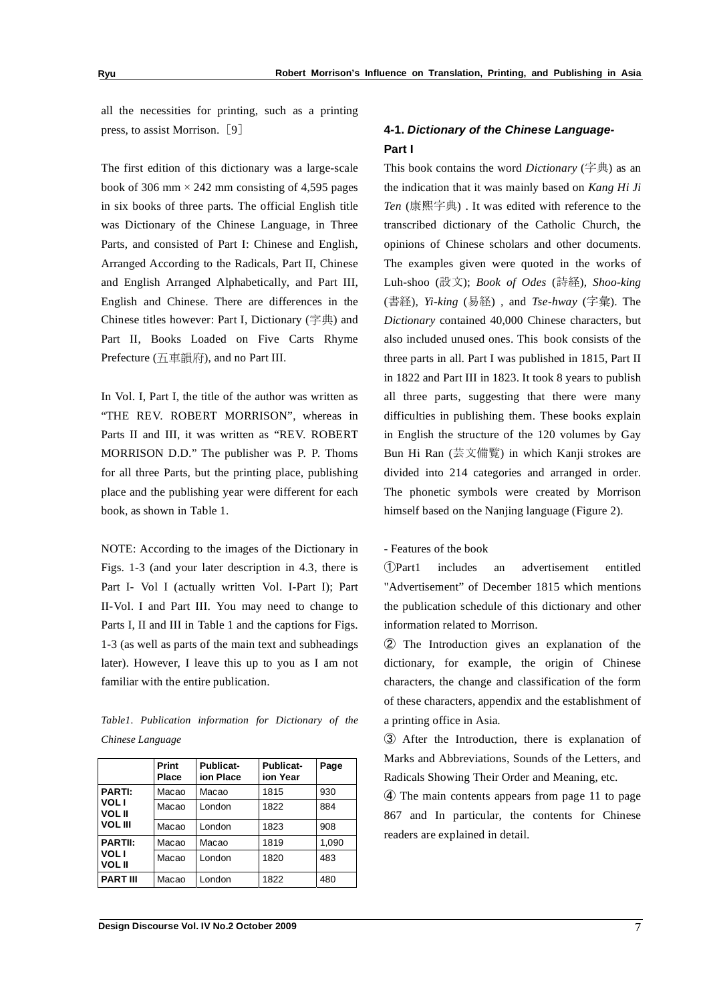all the necessities for printing, such as a printing press, to assist Morrison.  $\lceil 9 \rceil$ 

The first edition of this dictionary was a large-scale book of 306 mm  $\times$  242 mm consisting of 4,595 pages in six books of three parts. The official English title was Dictionary of the Chinese Language, in Three Parts, and consisted of Part I: Chinese and English, Arranged According to the Radicals, Part II, Chinese and English Arranged Alphabetically, and Part III, English and Chinese. There are differences in the Chinese titles however: Part I, Dictionary  $(\tilde{\mathcal{F}}^{\#})$  and Part II, Books Loaded on Five Carts Rhyme Prefecture (五車韻府), and no Part III.

In Vol. I, Part I, the title of the author was written as "THE REV. ROBERT MORRISON", whereas in Parts II and III, it was written as "REV. ROBERT MORRISON D.D." The publisher was P. P. Thoms for all three Parts, but the printing place, publishing place and the publishing year were different for each book, as shown in Table 1.

NOTE: According to the images of the Dictionary in Figs. 1-3 (and your later description in 4.3, there is Part I- Vol I (actually written Vol. I-Part I); Part II-Vol. I and Part III. You may need to change to Parts I, II and III in Table 1 and the captions for Figs. 1-3 (as well as parts of the main text and subheadings later). However, I leave this up to you as I am not familiar with the entire publication.

| Table1. Publication information for Dictionary of the |  |  |  |
|-------------------------------------------------------|--|--|--|
| Chinese Language                                      |  |  |  |

|                              | Print<br>Place | <b>Publicat-</b><br>ion Place | Publicat-<br>ion Year | Page  |
|------------------------------|----------------|-------------------------------|-----------------------|-------|
| <b>PARTI:</b>                | Macao          | Macao                         | 1815                  | 930   |
| <b>VOL1</b><br><b>VOL II</b> | Macao          | London                        | 1822                  | 884   |
| <b>VOL III</b>               | Macao          | London                        | 1823                  | 908   |
| <b>PARTII:</b>               | Macao          | Macao                         | 1819                  | 1,090 |
| <b>VOLI</b><br><b>VOL II</b> | Macao          | London                        | 1820                  | 483   |
| <b>PART III</b>              | Macao          | London                        | 1822                  | 480   |

### **4-1.** *Dictionary of the Chinese Language-***Part I**

This book contains the word *Dictionary* (字典) as an the indication that it was mainly based on *Kang Hi Ji*  Ten (康熙字典) . It was edited with reference to the transcribed dictionary of the Catholic Church, the opinions of Chinese scholars and other documents. The examples given were quoted in the works of Luh-shoo (設文); *Book of Odes* (詩経), *Shoo-king* (書経), *Yi-king* (易経), and *Tse-hway* (字彙). The *Dictionary* contained 40,000 Chinese characters, but also included unused ones. This book consists of the three parts in all. Part I was published in 1815, Part II in 1822 and Part III in 1823. It took 8 years to publish all three parts, suggesting that there were many difficulties in publishing them. These books explain in English the structure of the 120 volumes by Gay Bun Hi Ran (芸文備覧) in which Kanji strokes are divided into 214 categories and arranged in order. The phonetic symbols were created by Morrison himself based on the Nanjing language (Figure 2).

- Features of the book

Part1 includes an advertisement entitled "Advertisement" of December 1815 which mentions the publication schedule of this dictionary and other information related to Morrison.

- The Introduction gives an explanation of the dictionary, for example, the origin of Chinese characters, the change and classification of the form of these characters, appendix and the establishment of a printing office in Asia.

 After the Introduction, there is explanation of Marks and Abbreviations, Sounds of the Letters, and Radicals Showing Their Order and Meaning, etc.

 The main contents appears from page 11 to page 867 and In particular, the contents for Chinese readers are explained in detail.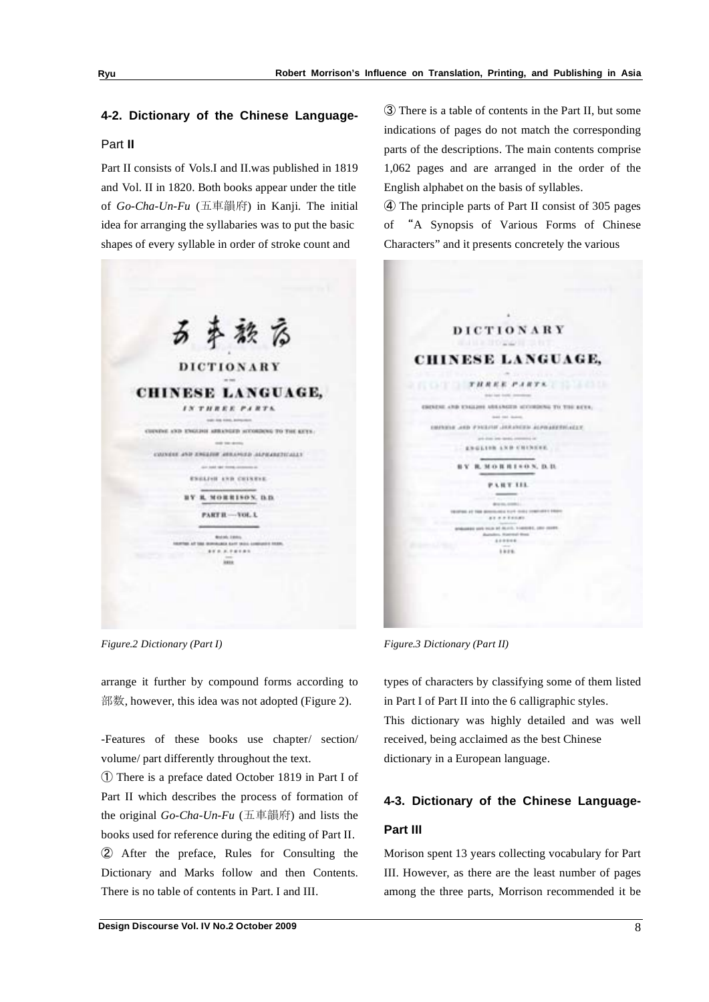## **4-2. Dictionary of the Chinese Language-**Part **II**

Part II consists of Vols.I and II.was published in 1819 and Vol. II in 1820. Both books appear under the title of *Go-Cha-Un-Fu* (五車韻府) in Kanji. The initial idea for arranging the syllabaries was to put the basic shapes of every syllable in order of stroke count and



*Figure.2 Dictionary (Part I)*

arrange it further by compound forms according to 部数, however, this idea was not adopted (Figure 2).

-Features of these books use chapter/ section/ volume/ part differently throughout the text.

- There is a preface dated October 1819 in Part I of Part II which describes the process of formation of the original  $Go\text{-}Cha\text{-}Un\text{-}Fu$  (五車韻府) and lists the books used for reference during the editing of Part II. After the preface, Rules for Consulting the Dictionary and Marks follow and then Contents. There is no table of contents in Part. I and III.

 There is a table of contents in the Part II, but some indications of pages do not match the corresponding parts of the descriptions. The main contents comprise 1,062 pages and are arranged in the order of the English alphabet on the basis of syllables.

 The principle parts of Part II consist of 305 pages of A Synopsis of Various Forms of Chinese Characters" and it presents concretely the various

|     | <b>DICTIONARY</b>                                                                                                                                    |
|-----|------------------------------------------------------------------------------------------------------------------------------------------------------|
|     | William House II, John                                                                                                                               |
|     | <b>CHINESE LANGUAGE,</b>                                                                                                                             |
|     |                                                                                                                                                      |
| roa | <b>REE PARTS.</b><br>T H                                                                                                                             |
|     | Brida's load charms, comment                                                                                                                         |
|     | ESENENE AND KNALLINE ARRANGED INTOXICANL TO THE REYS.                                                                                                |
|     | dead car dealers.                                                                                                                                    |
|     | TELLISTEKENTIK AUDIOARIA TELEVISION GIKA KOOMIS                                                                                                      |
|     | 4-dispo pag-igangs, con                                                                                                                              |
|     | ENGLISH AND CHINESE.                                                                                                                                 |
|     | монитерх, р. п.                                                                                                                                      |
|     | <b>P.A.H.T. LEL.</b>                                                                                                                                 |
|     |                                                                                                                                                      |
|     | <b>ENVIRONMENT FROM MERCHANISM FLUT - CLOSE COMMUNITY E RESIDENT</b><br><b><i>Progressive Control of the American Progress</i></b><br>as a a tinnar. |
|     | BOBLISHED LOST TICH BY ALLICA, TANKING, LINY CORP.<br><b><i>AADEEE</i></b>                                                                           |
|     | <b>Select</b><br>Lass.                                                                                                                               |
|     |                                                                                                                                                      |
|     |                                                                                                                                                      |

*Figure.3 Dictionary (Part II)* 

types of characters by classifying some of them listed in Part I of Part II into the 6 calligraphic styles. This dictionary was highly detailed and was well received, being acclaimed as the best Chinese dictionary in a European language.

## **4-3. Dictionary of the Chinese Language-Part III**

Morison spent 13 years collecting vocabulary for Part III. However, as there are the least number of pages among the three parts, Morrison recommended it be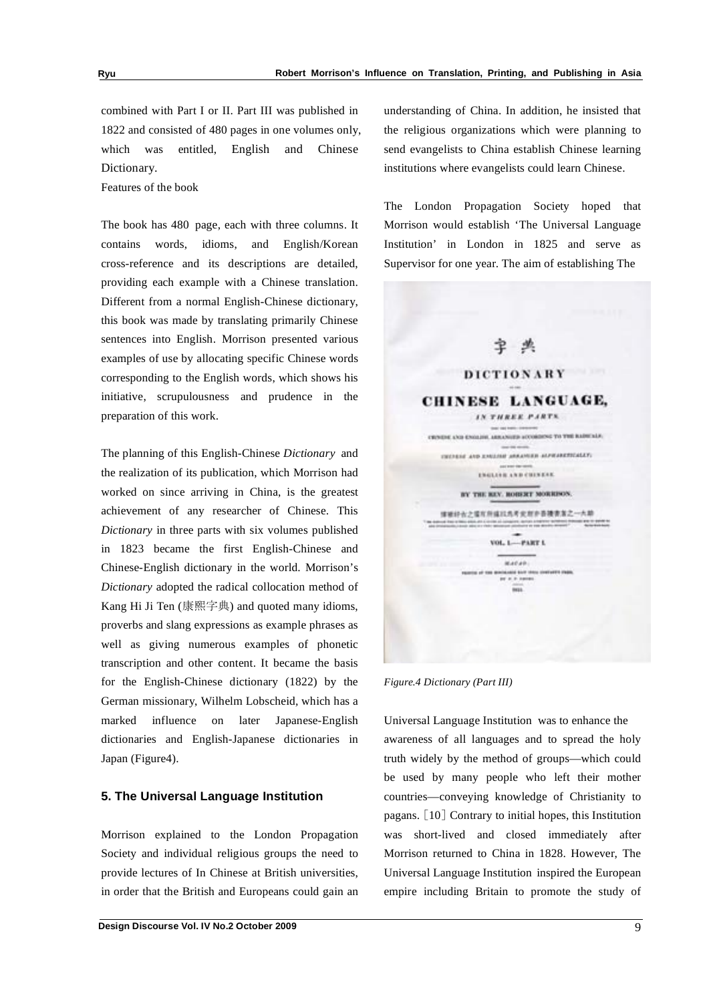combined with Part I or II. Part III was published in 1822 and consisted of 480 pages in one volumes only, which was entitled, English and Chinese Dictionary.

Features of the book

The book has 480 page, each with three columns. It contains words, idioms, and English/Korean cross-reference and its descriptions are detailed, providing each example with a Chinese translation. Different from a normal English-Chinese dictionary, this book was made by translating primarily Chinese sentences into English. Morrison presented various examples of use by allocating specific Chinese words corresponding to the English words, which shows his initiative, scrupulousness and prudence in the preparation of this work.

The planning of this English-Chinese *Dictionary* and the realization of its publication, which Morrison had worked on since arriving in China, is the greatest achievement of any researcher of Chinese. This *Dictionary* in three parts with six volumes published in 1823 became the first English-Chinese and Chinese-English dictionary in the world. Morrison's *Dictionary* adopted the radical collocation method of Kang Hi Ji Ten (康熙字典) and quoted many idioms, proverbs and slang expressions as example phrases as well as giving numerous examples of phonetic transcription and other content. It became the basis for the English-Chinese dictionary (1822) by the German missionary, Wilhelm Lobscheid*,* which has a marked influence on later Japanese-English dictionaries and English-Japanese dictionaries in Japan (Figure4).

#### **5. The Universal Language Institution**

Morrison explained to the London Propagation Society and individual religious groups the need to provide lectures of In Chinese at British universities, in order that the British and Europeans could gain an understanding of China. In addition, he insisted that the religious organizations which were planning to send evangelists to China establish Chinese learning institutions where evangelists could learn Chinese.

The London Propagation Society hoped that Morrison would establish 'The Universal Language Institution' in London in 1825 and serve as Supervisor for one year. The aim of establishing The



*Figure.4 Dictionary (Part III)* 

Universal Language Institution was to enhance the awareness of all languages and to spread the holy truth widely by the method of groups—which could be used by many people who left their mother countries—conveying knowledge of Christianity to pagans.  $\lceil 10 \rceil$  Contrary to initial hopes, this Institution was short-lived and closed immediately after Morrison returned to China in 1828. However, The Universal Language Institution inspired the European empire including Britain to promote the study of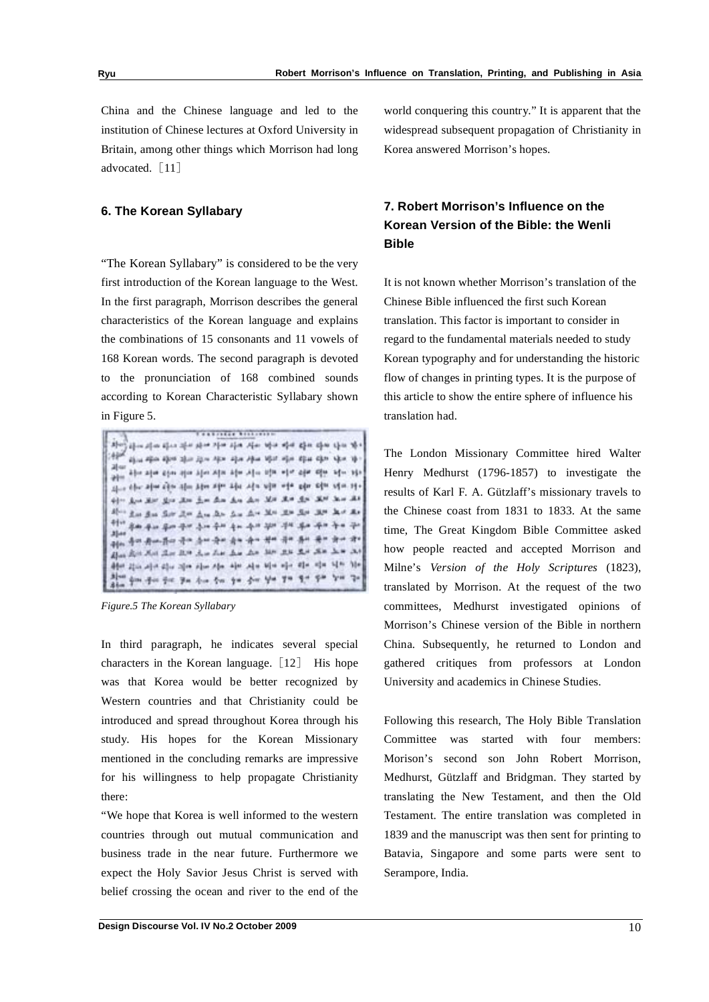China and the Chinese language and led to the institution of Chinese lectures at Oxford University in Britain, among other things which Morrison had long advocated. [11]

#### **6. The Korean Syllabary**

"The Korean Syllabary" is considered to be the very first introduction of the Korean language to the West. In the first paragraph, Morrison describes the general characteristics of the Korean language and explains the combinations of 15 consonants and 11 vowels of 168 Korean words. The second paragraph is devoted to the pronunciation of 168 combined sounds according to Korean Characteristic Syllabary shown in Figure 5.

.................  $\mathcal{S}^{\text{I}}_{\mathcal{C}^{\text{II}}_{\mathcal{C}}} \mathcal{C}^{\text{I}}_{\mathcal{C}^{\text{II}}} \mathcal{C}^{\text{II}}_{\mathcal{C}^{\text{II}}} \mathcal{C}^{\text{II}}_{\mathcal{C}^{\text{II}}} \mathcal{C}^{\text{II}}_{\mathcal{C}^{\text{II}}} \mathcal{C}^{\text{II}}_{\mathcal{C}^{\text{II}}} \mathcal{C}^{\text{II}}_{\mathcal{C}^{\text{II}}} \mathcal{C}^{\text{II}}_{\mathcal{C}^{\text{II}}} \mathcal{C}^{\text{II}}_{$ قطاء shu she she also has she she has had the she has a he has h the site time that the time the site of a time also time time the time  $\mathfrak{U}_{\alpha\beta}$  die die als die die die kin als als die vis ein die die die die die فقد سنة الكلا حين الكلا الكلا بعض سنق سنق سنق سنق سنق سيق ١٠٠٠ .<br>이 우리 주의 우리 작은 그는 우리 속도 속이 된다. 국제 목도 주기 수도 같  $31 + 4$ .<br>이 사이 지수는 있다. 이 사이 가능이 있어 나는 사이 서비 내가 되어 있어 있어 있다. Also Rot Not that the Am Lin Lin Lin Mr. 216 216 226 Lin as dder 22m aller 22m aller aller aller aller bler oller oller aller hilfe hile Alon gan gin gir ya din gin ya gin ya ya ya gin ya 'ya

*Figure.5 The Korean Syllabary*

In third paragraph, he indicates several special characters in the Korean language.  $[12]$  His hope was that Korea would be better recognized by Western countries and that Christianity could be introduced and spread throughout Korea through his study. His hopes for the Korean Missionary mentioned in the concluding remarks are impressive for his willingness to help propagate Christianity there:

"We hope that Korea is well informed to the western countries through out mutual communication and business trade in the near future. Furthermore we expect the Holy Savior Jesus Christ is served with belief crossing the ocean and river to the end of the

world conquering this country." It is apparent that the widespread subsequent propagation of Christianity in Korea answered Morrison's hopes.

## **7. Robert Morrison's Influence on the Korean Version of the Bible: the Wenli Bible**

It is not known whether Morrison's translation of the Chinese Bible influenced the first such Korean translation. This factor is important to consider in regard to the fundamental materials needed to study Korean typography and for understanding the historic flow of changes in printing types. It is the purpose of this article to show the entire sphere of influence his translation had.

The London Missionary Committee hired Walter Henry Medhurst (1796-1857) to investigate the results of Karl F. A. Gützlaff's missionary travels to the Chinese coast from 1831 to 1833. At the same time, The Great Kingdom Bible Committee asked how people reacted and accepted Morrison and Milne's *Version of the Holy Scriptures* (1823), translated by Morrison. At the request of the two committees, Medhurst investigated opinions of Morrison's Chinese version of the Bible in northern China. Subsequently, he returned to London and gathered critiques from professors at London University and academics in Chinese Studies.

Following this research, The Holy Bible Translation Committee was started with four members: Morison's second son John Robert Morrison, Medhurst, Gützlaff and Bridgman. They started by translating the New Testament, and then the Old Testament. The entire translation was completed in 1839 and the manuscript was then sent for printing to Batavia, Singapore and some parts were sent to Serampore, India.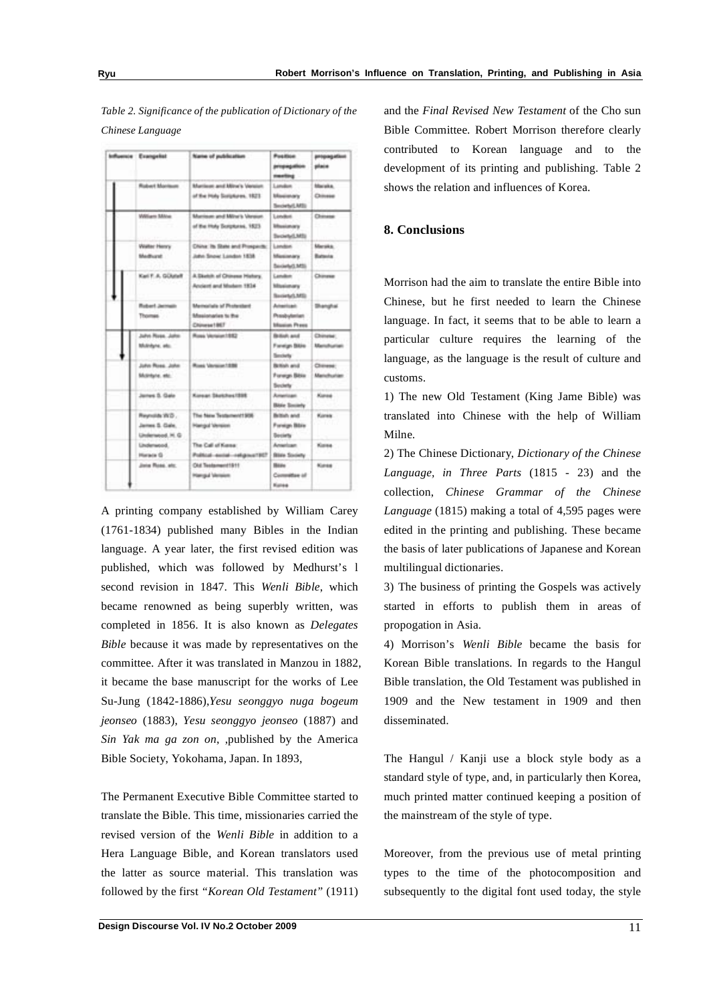*Table 2. Significance of the publication of Dictionary of the Chinese Language*

|  | <b>Influence Examples</b>                            | Name of publication                                                   | <b>Position</b><br>propagation<br>methy                           | propagation<br>place            |
|--|------------------------------------------------------|-----------------------------------------------------------------------|-------------------------------------------------------------------|---------------------------------|
|  | <b>Robert Manison</b>                                | Martinon and Mine's Version.<br>of the Holy Scriptures, 1823.         | Landon<br><b>Ukucianary</b><br>Secienci, MSL                      | Marieka.<br>Chinese             |
|  | William Militar                                      | Marrison and Milvi's Versun.<br>of the Holy Scriptures, 1523          | Landast<br><b>Ufficialization's</b><br>Swowtpd, MSL               | Chinese                         |
|  | Walter Henry<br>Madhurst.                            | China: its State and Prospects:<br>John Snow: London 1838             | Landon<br>Maximary<br>Secience MSL                                | Marsika.<br><b>Batteria</b>     |
|  | Kall F.A. GOutaff                                    | A.Dkelch of Chinese History.<br>Ancient and Museum 1934               | <b>Camaline</b><br>Maximury<br>Society/LMS)                       | Chimese                         |
|  | <b>Robert Jacmels</b><br>Thomas                      | <b>Marinolials of Photosteri</b><br>Masionales to the<br>Chinese 1967 | Admittable<br>Presbyterian<br><b><i><u>Maxime</u></i></b> , Press | <b>Shanghai</b>                 |
|  | Julyi Ross, John<br>Midnight, also                   | Ross Vention 1992                                                     | <b>British and</b><br>Foreign Bible<br>Seckety <sup>*</sup>       | Chineter:<br><b>Manufrurian</b> |
|  | John Ross, John<br>SASHUN, 451                       | Ross Version 1886                                                     | Bettish and<br>Foreign Bible<br>Sections'                         | Chinese:<br>Manufhuriam         |
|  | James S. Gale                                        | Korean Districtors 1998                                               | American.<br><b>Bitrie Society</b>                                | Kurasi                          |
|  | Reynolds W.D.<br>James S. Cale.<br>Undersecol. H. G. | The New Testament1906<br>Hangul Version                               | Beltish and<br><b>Poreign Bible</b><br><b>Beckety</b>             | Kinsk:                          |
|  | Linderwood.<br>Hisraca G                             | The Call of Kenne:<br>Political exclusive designs at ECT              | Anwriter.<br><b>Blake Sciolety</b>                                | <b>Kisike</b>                   |
|  | Jone Rose, etc.                                      | Old Teatement1911<br><b>Hangal Version</b>                            | <b>Biting</b><br>Committee of<br>Kales                            | <b>Kurse</b>                    |

A printing company established by William Carey (1761-1834) published many Bibles in the Indian language. A year later, the first revised edition was published, which was followed by Medhurst's l second revision in 1847. This *Wenli Bible*, which became renowned as being superbly written, was completed in 1856. It is also known as *Delegates Bible* because it was made by representatives on the committee. After it was translated in Manzou in 1882, it became the base manuscript for the works of Lee Su-Jung (1842-1886),*Yesu seonggyo nuga bogeum jeonseo* (1883), *Yesu seonggyo jeonseo* (1887) and *Sin Yak ma ga zon on*, ,published by the America Bible Society, Yokohama, Japan. In 1893,

The Permanent Executive Bible Committee started to translate the Bible. This time, missionaries carried the revised version of the *Wenli Bible* in addition to a Hera Language Bible, and Korean translators used the latter as source material. This translation was followed by the first *"Korean Old Testament"* (1911) and the *Final Revised New Testament* of the Cho sun Bible Committee. Robert Morrison therefore clearly contributed to Korean language and to the development of its printing and publishing. Table 2 shows the relation and influences of Korea.

#### **8. Conclusions**

Morrison had the aim to translate the entire Bible into Chinese, but he first needed to learn the Chinese language. In fact, it seems that to be able to learn a particular culture requires the learning of the language, as the language is the result of culture and customs.

1) The new Old Testament (King Jame Bible) was translated into Chinese with the help of William Milne.

2) The Chinese Dictionary, *Dictionary of the Chinese Language, in Three Parts* (1815 - 23) and the collection, *Chinese Grammar of the Chinese Language* (1815) making a total of 4,595 pages were edited in the printing and publishing. These became the basis of later publications of Japanese and Korean multilingual dictionaries.

3) The business of printing the Gospels was actively started in efforts to publish them in areas of propogation in Asia.

4) Morrison's *Wenli Bible* became the basis for Korean Bible translations. In regards to the Hangul Bible translation, the Old Testament was published in 1909 and the New testament in 1909 and then disseminated.

The Hangul / Kanji use a block style body as a standard style of type, and, in particularly then Korea, much printed matter continued keeping a position of the mainstream of the style of type.

Moreover, from the previous use of metal printing types to the time of the photocomposition and subsequently to the digital font used today, the style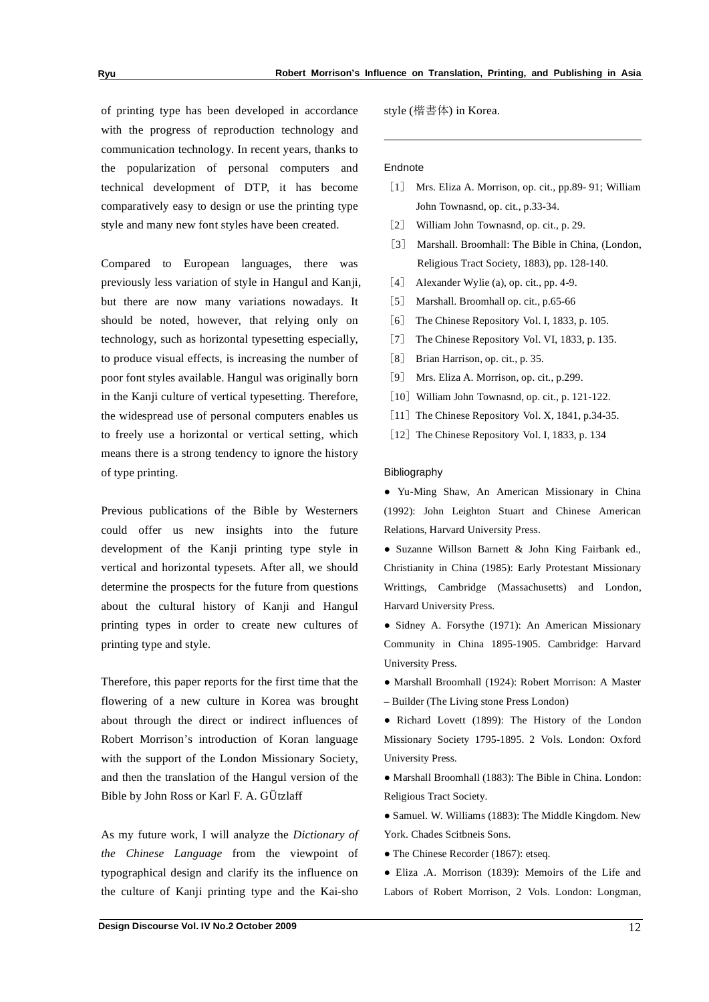of printing type has been developed in accordance with the progress of reproduction technology and communication technology. In recent years, thanks to the popularization of personal computers and technical development of DTP, it has become comparatively easy to design or use the printing type style and many new font styles have been created.

Compared to European languages, there was previously less variation of style in Hangul and Kanji, but there are now many variations nowadays. It should be noted, however, that relying only on technology, such as horizontal typesetting especially, to produce visual effects, is increasing the number of poor font styles available. Hangul was originally born in the Kanji culture of vertical typesetting. Therefore, the widespread use of personal computers enables us to freely use a horizontal or vertical setting, which means there is a strong tendency to ignore the history of type printing.

Previous publications of the Bible by Westerners could offer us new insights into the future development of the Kanji printing type style in vertical and horizontal typesets. After all, we should determine the prospects for the future from questions about the cultural history of Kanji and Hangul printing types in order to create new cultures of printing type and style.

Therefore, this paper reports for the first time that the flowering of a new culture in Korea was brought about through the direct or indirect influences of Robert Morrison's introduction of Koran language with the support of the London Missionary Society, and then the translation of the Hangul version of the Bible by John Ross or Karl F. A. GÜtzlaff

As my future work, I will analyze the *Dictionary of the Chinese Language* from the viewpoint of typographical design and clarify its the influence on the culture of Kanji printing type and the Kai-sho style (楷書体) in Korea.

#### Endnote

- [1] Mrs. Eliza A. Morrison, op. cit., pp.89-91; William John Townasnd, op. cit., p.33-34.
- [2] William John Townasnd, op. cit., p. 29.
- [3] Marshall. Broomhall: The Bible in China, (London, Religious Tract Society, 1883), pp. 128-140.
- [4] Alexander Wylie (a), op. cit., pp. 4-9.
- [5] Marshall. Broomhall op. cit., p.65-66
- [6] The Chinese Repository Vol. I, 1833, p. 105.
- [7] The Chinese Repository Vol. VI, 1833, p. 135.
- [8] Brian Harrison, op. cit., p. 35.
- [9] Mrs. Eliza A. Morrison, op. cit., p.299.
- $[10]$  William John Townasnd, op. cit., p. 121-122.
- [11] The Chinese Repository Vol. X, 1841, p.34-35.
- [12] The Chinese Repository Vol. I, 1833, p. 134

#### Bibliography

 Yu-Ming Shaw, An American Missionary in China (1992): John Leighton Stuart and Chinese American Relations, Harvard University Press.

 Suzanne Willson Barnett & John King Fairbank ed., Christianity in China (1985): Early Protestant Missionary Writtings, Cambridge (Massachusetts) and London, Harvard University Press.

 Sidney A. Forsythe (1971): An American Missionary Community in China 1895-1905. Cambridge: Harvard University Press.

 Marshall Broomhall (1924): Robert Morrison: A Master – Builder (The Living stone Press London)

• Richard Lovett (1899): The History of the London Missionary Society 1795-1895. 2 Vols. London: Oxford University Press.

 Marshall Broomhall (1883): The Bible in China. London: Religious Tract Society.

 Samuel. W. Williams (1883): The Middle Kingdom. New York. Chades Scitbneis Sons.

• The Chinese Recorder (1867): etseq.

 Eliza .A. Morrison (1839): Memoirs of the Life and Labors of Robert Morrison, 2 Vols. London: Longman,